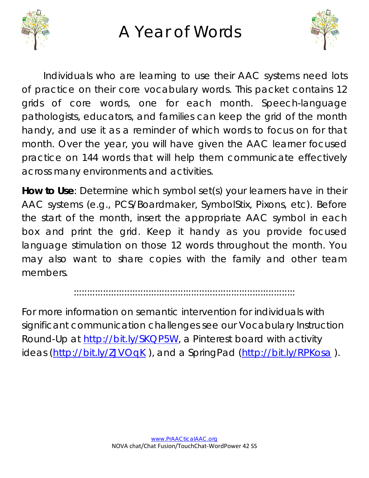

A Year of Words



Individuals who are learning to use their AAC systems need lots of practice on their core vocabulary words. This packet contains 12 grids of core words, one for each month. Speech-language pathologists, educators, and families can keep the grid of the month handy, and use it as a reminder of which words to focus on for that month. Over the year, you will have given the AAC learner focused practice on 144 words that will help them communicate effectively across many environments and activities.

**How to Use**: Determine which symbol set(s) your learners have in their AAC systems (e.g., PCS/Boardmaker, SymbolStix, Pixons, etc). Before the start of the month, insert the appropriate AAC symbol in each box and print the grid. Keep it handy as you provide focused language stimulation on those 12 words throughout the month. You may also want to share copies with the family and other team members.

:::::::::::::::::::::::::::::::::::::::::::::::::::::::::::::::::::::::::::::::::::

For more information on semantic intervention for individuals with significant communication challenges see our Vocabulary Instruction Round-Up at [http://bit.ly/SKQP5W,](http://bit.ly/SKQP5W) a Pinterest board with activity ideas [\(http://bit.ly/ZJVOqK](http://bit.ly/ZJVOqK)), and a SpringPad [\(http://bit.ly/RPKosa](http://bit.ly/RPKosa)).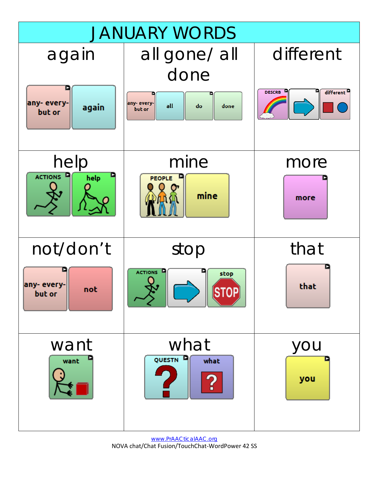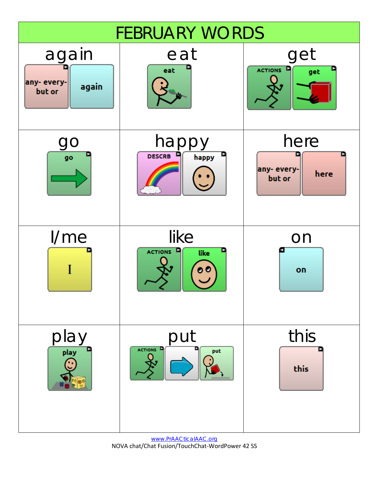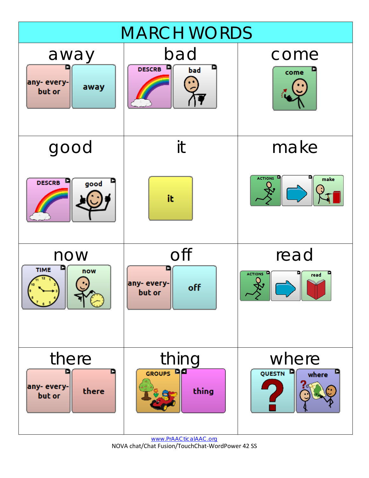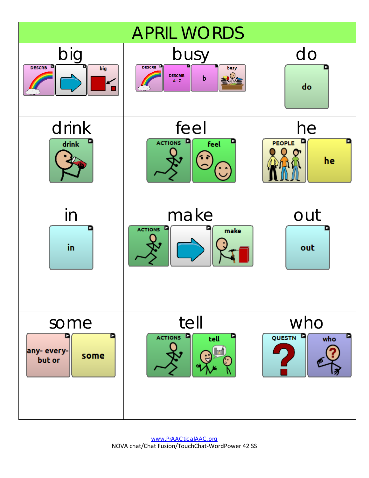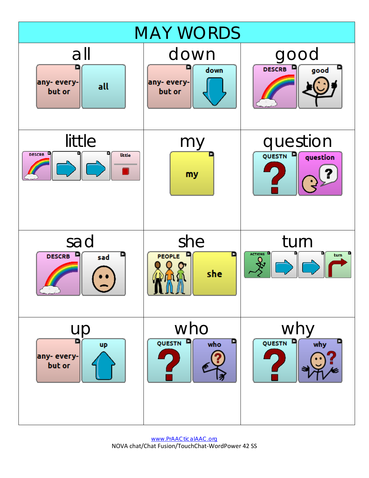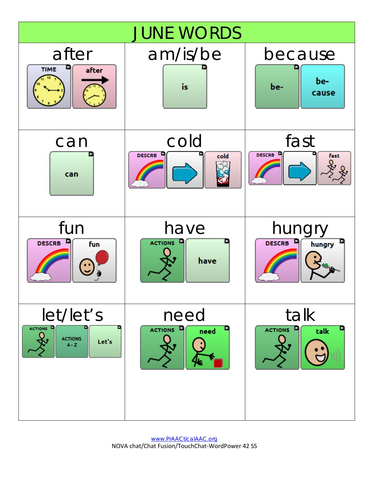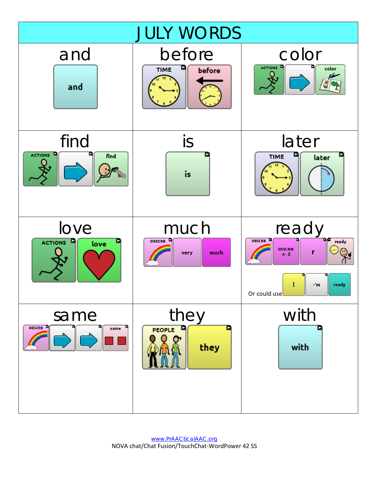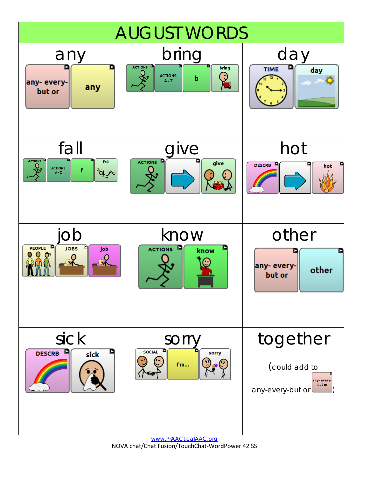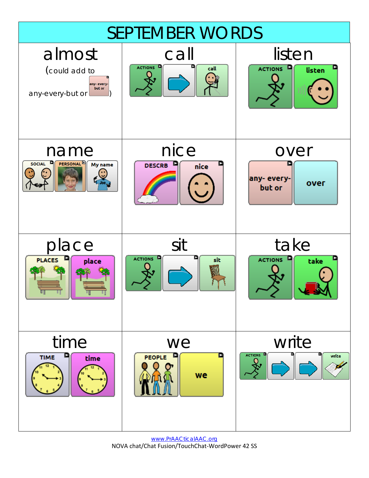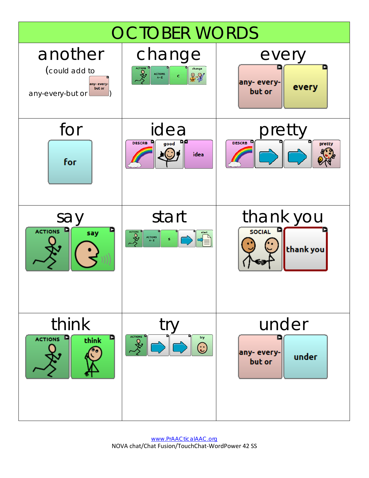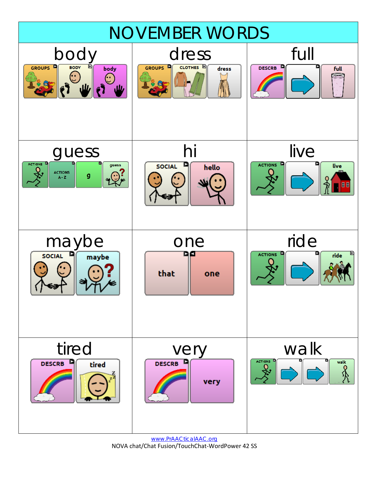